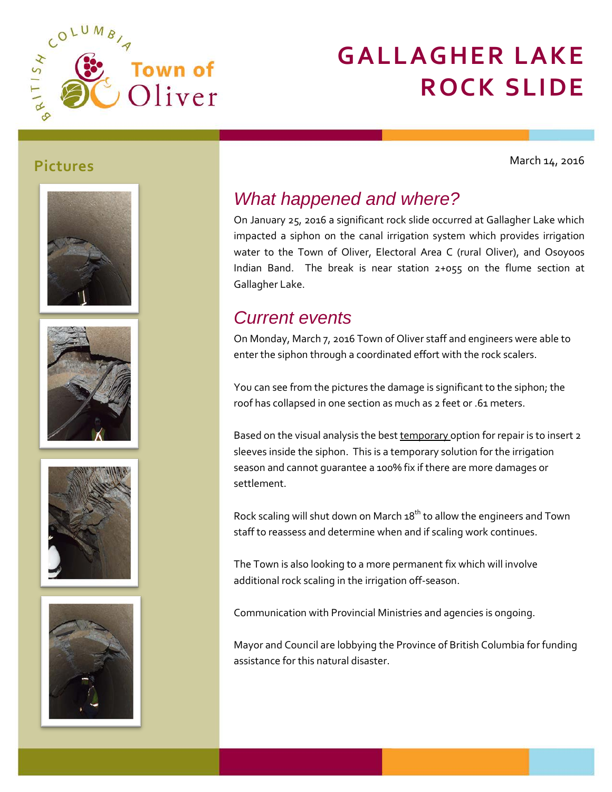

# **GALLAGHER LAKE ROCK SLIDE**

March 14, 2016











### *What happened and where?*

On January 25, 2016 a significant rock slide occurred at Gallagher Lake which impacted a siphon on the canal irrigation system which provides irrigation water to the Town of Oliver, Electoral Area C (rural Oliver), and Osoyoos Indian Band. The break is near station 2+055 on the flume section at Gallagher Lake.

## *Current events*

On Monday, March 7, 2016 Town of Oliver staff and engineers were able to enter the siphon through a coordinated effort with the rock scalers.

You can see from the pictures the damage is significant to the siphon; the roof has collapsed in one section as much as 2 feet or .61 meters.

Based on the visual analysis the best temporary option for repair is to insert 2 sleeves inside the siphon. This is a temporary solution for the irrigation season and cannot guarantee a 100% fix if there are more damages or settlement.

Rock scaling will shut down on March  $18^{th}$  to allow the engineers and Town staff to reassess and determine when and if scaling work continues.

The Town is also looking to a more permanent fix which will involve additional rock scaling in the irrigation off-season.

Communication with Provincial Ministries and agencies is ongoing.

Mayor and Council are lobbying the Province of British Columbia for funding assistance for this natural disaster.